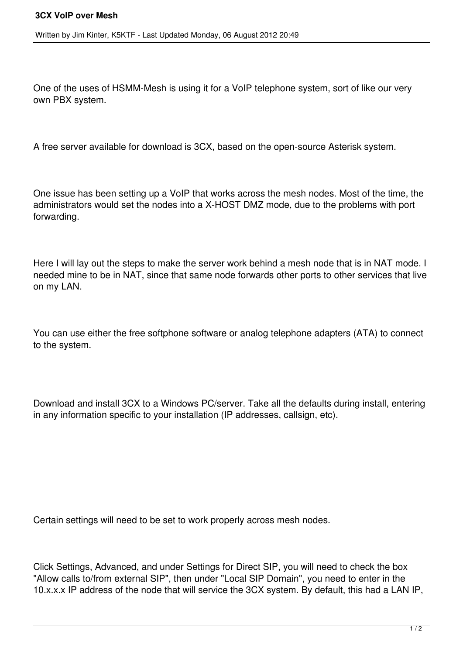Written by Jim Kinter, K5KTF - Last Updated Monday, 06 August 2012 20:49

One of the uses of HSMM-Mesh is using it for a VoIP telephone system, sort of like our very own PBX system.

A free server available for download is 3CX, based on the open-source Asterisk system.

One issue has been setting up a VoIP that works across the mesh nodes. Most of the time, the administrators would set the nodes into a X-HOST DMZ mode, due to the problems with port forwarding.

Here I will lay out the steps to make the server work behind a mesh node that is in NAT mode. I needed mine to be in NAT, since that same node forwards other ports to other services that live on my LAN.

You can use either the free softphone software or analog telephone adapters (ATA) to connect to the system.

Download and install 3CX to a Windows PC/server. Take all the defaults during install, entering in any information specific to your installation (IP addresses, callsign, etc).

Certain settings will need to be set to work properly across mesh nodes.

Click Settings, Advanced, and under Settings for Direct SIP, you will need to check the box "Allow calls to/from external SIP", then under "Local SIP Domain", you need to enter in the 10.x.x.x IP address of the node that will service the 3CX system. By default, this had a LAN IP,